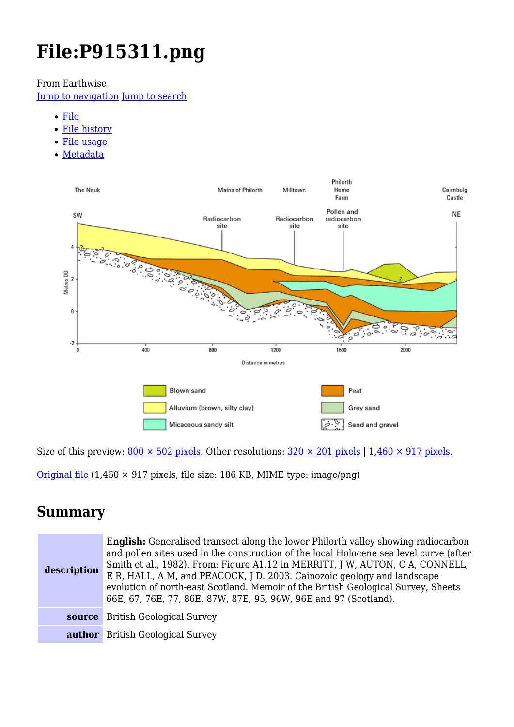# **File:P915311.png**

From Earthwise

[Jump to navigation](#page--1-0) [Jump to search](#page--1-0)

- [File](#page--1-0)
- [File history](#page--1-0)
- [File usage](#page--1-0)
- [Metadata](#page--1-0)



Size of this preview:  $800 \times 502$  pixels. Other resolutions:  $320 \times 201$  pixels | 1,460  $\times$  917 pixels.

[Original file](http://earthwise.bgs.ac.uk/images/2/21/P915311.png) (1,460 × 917 pixels, file size: 186 KB, MIME type: image/png)

## **Summary**

| description | <b>English:</b> Generalised transect along the lower Philorth valley showing radiocarbon<br>and pollen sites used in the construction of the local Holocene sea level curve (after<br>Smith et al., 1982). From: Figure A1.12 in MERRITT, J W, AUTON, C A, CONNELL,<br>E R, HALL, A M, and PEACOCK, J D. 2003. Cainozoic geology and landscape<br>evolution of north-east Scotland. Memoir of the British Geological Survey, Sheets<br>66E, 67, 76E, 77, 86E, 87W, 87E, 95, 96W, 96E and 97 (Scotland). |
|-------------|---------------------------------------------------------------------------------------------------------------------------------------------------------------------------------------------------------------------------------------------------------------------------------------------------------------------------------------------------------------------------------------------------------------------------------------------------------------------------------------------------------|
|             | <b>source</b> British Geological Survey                                                                                                                                                                                                                                                                                                                                                                                                                                                                 |
|             | <b>author</b> British Geological Survey                                                                                                                                                                                                                                                                                                                                                                                                                                                                 |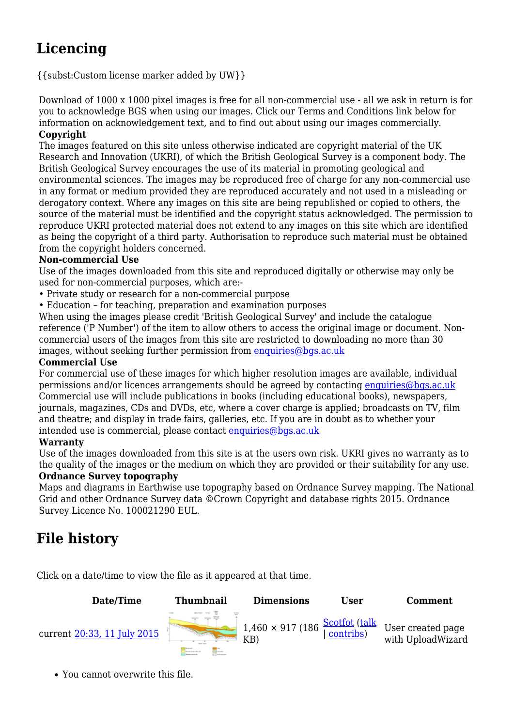## **Licencing**

{{subst:Custom license marker added by UW}}

Download of 1000 x 1000 pixel images is free for all non-commercial use - all we ask in return is for you to acknowledge BGS when using our images. Click our Terms and Conditions link below for information on acknowledgement text, and to find out about using our images commercially. **Copyright**

The images featured on this site unless otherwise indicated are copyright material of the UK Research and Innovation (UKRI), of which the British Geological Survey is a component body. The British Geological Survey encourages the use of its material in promoting geological and environmental sciences. The images may be reproduced free of charge for any non-commercial use in any format or medium provided they are reproduced accurately and not used in a misleading or derogatory context. Where any images on this site are being republished or copied to others, the source of the material must be identified and the copyright status acknowledged. The permission to reproduce UKRI protected material does not extend to any images on this site which are identified as being the copyright of a third party. Authorisation to reproduce such material must be obtained from the copyright holders concerned.

#### **Non-commercial Use**

Use of the images downloaded from this site and reproduced digitally or otherwise may only be used for non-commercial purposes, which are:-

- Private study or research for a non-commercial purpose
- Education for teaching, preparation and examination purposes

When using the images please credit 'British Geological Survey' and include the catalogue reference ('P Number') of the item to allow others to access the original image or document. Noncommercial users of the images from this site are restricted to downloading no more than 30 images, without seeking further permission from [enquiries@bgs.ac.uk](mailto:enquiries@bgs.ac.uk)

#### **Commercial Use**

For commercial use of these images for which higher resolution images are available, individual permissions and/or licences arrangements should be agreed by contacting [enquiries@bgs.ac.uk](mailto:enquiries@bgs.ac.uk) Commercial use will include publications in books (including educational books), newspapers, journals, magazines, CDs and DVDs, etc, where a cover charge is applied; broadcasts on TV, film and theatre; and display in trade fairs, galleries, etc. If you are in doubt as to whether your intended use is commercial, please contact [enquiries@bgs.ac.uk](mailto:enquiries@bgs.ac.uk)

#### **Warranty**

Use of the images downloaded from this site is at the users own risk. UKRI gives no warranty as to the quality of the images or the medium on which they are provided or their suitability for any use.

#### **Ordnance Survey topography**

Maps and diagrams in Earthwise use topography based on Ordnance Survey mapping. The National Grid and other Ordnance Survey data ©Crown Copyright and database rights 2015. Ordnance Survey Licence No. 100021290 EUL.

## **File history**

Click on a date/time to view the file as it appeared at that time.



You cannot overwrite this file.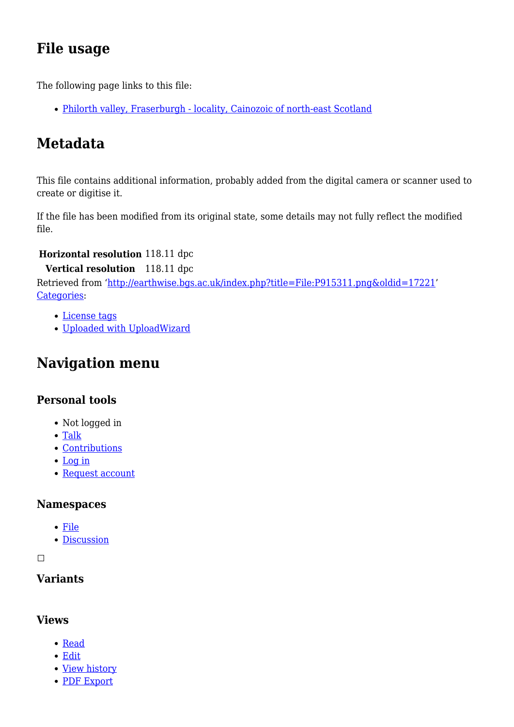## **File usage**

The following page links to this file:

[Philorth valley, Fraserburgh - locality, Cainozoic of north-east Scotland](http://earthwise.bgs.ac.uk/index.php/Philorth_valley,_Fraserburgh_-_locality,_Cainozoic_of_north-east_Scotland)

## **Metadata**

This file contains additional information, probably added from the digital camera or scanner used to create or digitise it.

If the file has been modified from its original state, some details may not fully reflect the modified file.

#### **Horizontal resolution** 118.11 dpc

**Vertical resolution** 118.11 dpc

Retrieved from ['http://earthwise.bgs.ac.uk/index.php?title=File:P915311.png&oldid=17221'](http://earthwise.bgs.ac.uk/index.php?title=File:P915311.png&oldid=17221) [Categories:](http://earthwise.bgs.ac.uk/index.php/Special:Categories)

- [License tags](http://earthwise.bgs.ac.uk/index.php/Category:License_tags)
- [Uploaded with UploadWizard](http://earthwise.bgs.ac.uk/index.php/Category:Uploaded_with_UploadWizard)

## **Navigation menu**

#### **Personal tools**

- Not logged in
- [Talk](http://earthwise.bgs.ac.uk/index.php/Special:MyTalk)
- [Contributions](http://earthwise.bgs.ac.uk/index.php/Special:MyContributions)
- [Log in](http://earthwise.bgs.ac.uk/index.php?title=Special:UserLogin&returnto=File%3AP915311.png&returntoquery=action%3Dmpdf)
- [Request account](http://earthwise.bgs.ac.uk/index.php/Special:RequestAccount)

#### **Namespaces**

- [File](http://earthwise.bgs.ac.uk/index.php/File:P915311.png)
- [Discussion](http://earthwise.bgs.ac.uk/index.php?title=File_talk:P915311.png&action=edit&redlink=1)

 $\Box$ 

#### **Variants**

#### **Views**

- [Read](http://earthwise.bgs.ac.uk/index.php/File:P915311.png)
- [Edit](http://earthwise.bgs.ac.uk/index.php?title=File:P915311.png&action=edit)
- [View history](http://earthwise.bgs.ac.uk/index.php?title=File:P915311.png&action=history)
- [PDF Export](http://earthwise.bgs.ac.uk/index.php?title=File:P915311.png&action=mpdf)